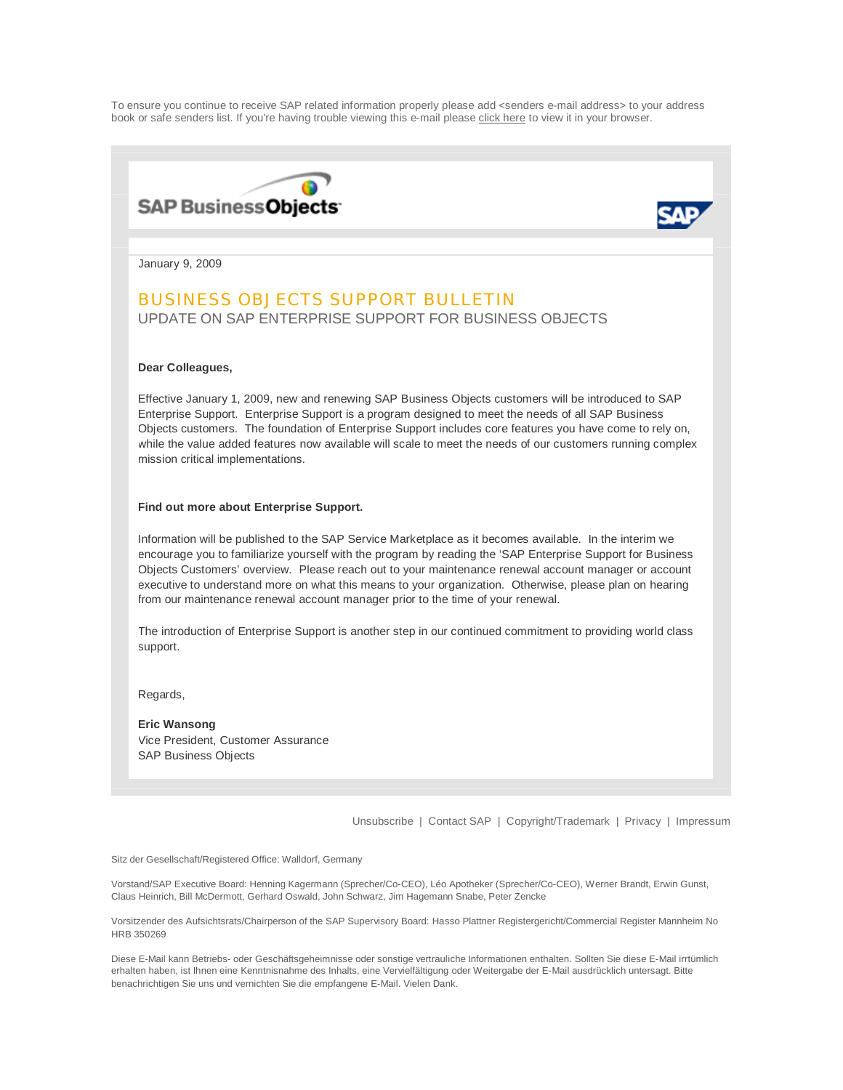To ensure you continue to receive SAP related information properly please add <senders e-mail address> to your address book or safe senders list. If you're having trouble viewing this e-mail please [click here t](http://www50.sap.com/m1/images/email/html/EM_SCD_05_v01_Browser.html)o view it in your browser.



encourage you to familiarize yourself with the program by reading the 'SAP Enterprise Support for Business Objects Customers' overview. Please reach out to your maintenance renewal account manager or account executive to understand more on what this means to your organization. Otherwise, please plan on hearing from our maintenance renewal account manager prior to the time of your renewal.

The introduction of Enterprise Support is another step in our continued commitment to providing world class support.

Regards,

**Eric Wansong** Vice President, Customer Assurance SAP Business Objects

[Unsubscribe](http://www.sap.com/mk/get/g_basic_un_subscribe) | [Contact SAP](http://www.sap.com/contactsap/index.aspx) | [Copyright/Trademark](http://www.sap.com/company/legal/copyright/index.aspx) | [Privacy](http://www.sap.com/company/legal/privacy.aspx) | [Impressum](http://www.sap.com/company/legal/impressum.aspx)

Sitz der Gesellschaft/Registered Office: Walldorf, Germany

Vorstand/SAP Executive Board: Henning Kagermann (Sprecher/Co-CEO), Léo Apotheker (Sprecher/Co-CEO), Werner Brandt, Erwin Gunst, Claus Heinrich, Bill McDermott, Gerhard Oswald, John Schwarz, Jim Hagemann Snabe, Peter Zencke

Vorsitzender des Aufsichtsrats/Chairperson of the SAP Supervisory Board: Hasso Plattner Registergericht/Commercial Register Mannheim No HRB 350269

Diese E-Mail kann Betriebs- oder Geschäftsgeheimnisse oder sonstige vertrauliche Informationen enthalten. Sollten Sie diese E-Mail irrtümlich erhalten haben, ist Ihnen eine Kenntnisnahme des Inhalts, eine Vervielfältigung oder Weitergabe der E-Mail ausdrücklich untersagt. Bitte benachrichtigen Sie uns und vernichten Sie die empfangene E-Mail. Vielen Dank.